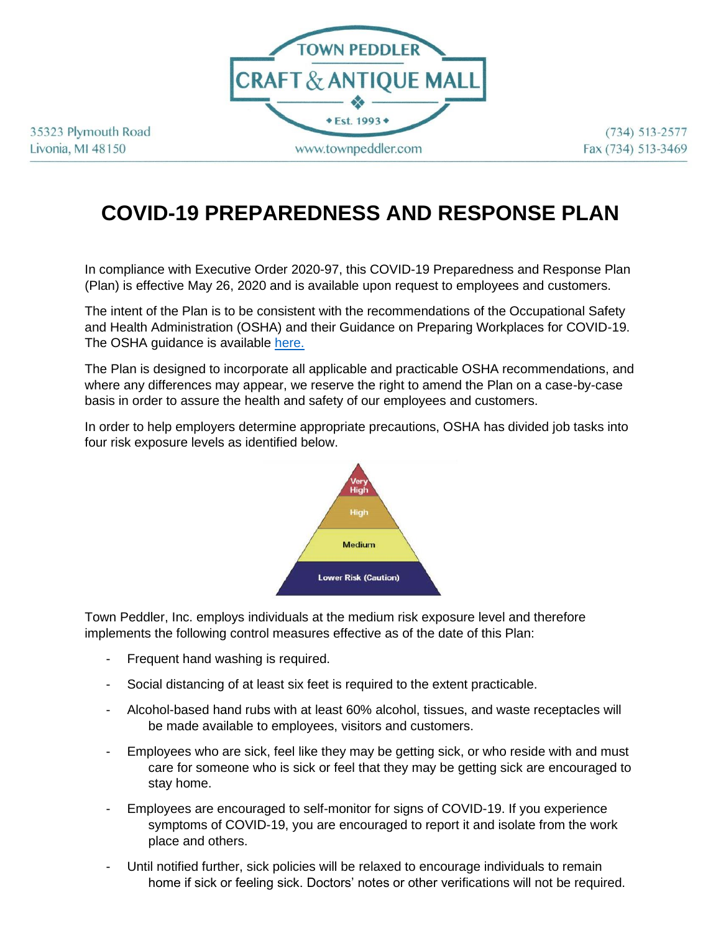

35323 Plymouth Road Livonia, MI 48150

 $(734) 513 - 2577$ Fax (734) 513-3469

## **COVID-19 PREPAREDNESS AND RESPONSE PLAN**

In compliance with Executive Order 2020-97, this COVID-19 Preparedness and Response Plan (Plan) is effective May 26, 2020 and is available upon request to employees and customers.

The intent of the Plan is to be consistent with the recommendations of the Occupational Safety and Health Administration (OSHA) and their Guidance on Preparing Workplaces for COVID-19. The OSHA guidance is available [here.](https://www.osha.gov/Publications/OSHA3990.pdf)

The Plan is designed to incorporate all applicable and practicable OSHA recommendations, and where any differences may appear, we reserve the right to amend the Plan on a case-by-case basis in order to assure the health and safety of our employees and customers.

In order to help employers determine appropriate precautions, OSHA has divided job tasks into four risk exposure levels as identified below.



Town Peddler, Inc. employs individuals at the medium risk exposure level and therefore implements the following control measures effective as of the date of this Plan:

- Frequent hand washing is required.
- Social distancing of at least six feet is required to the extent practicable.
- Alcohol-based hand rubs with at least 60% alcohol, tissues, and waste receptacles will be made available to employees, visitors and customers.
- Employees who are sick, feel like they may be getting sick, or who reside with and must care for someone who is sick or feel that they may be getting sick are encouraged to stay home.
- Employees are encouraged to self-monitor for signs of COVID-19. If you experience symptoms of COVID-19, you are encouraged to report it and isolate from the work place and others.
- Until notified further, sick policies will be relaxed to encourage individuals to remain home if sick or feeling sick. Doctors' notes or other verifications will not be required.